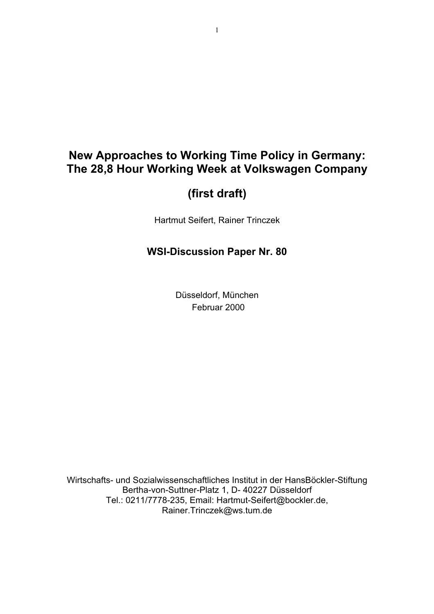# **New Approaches to Working Time Policy in Germany: The 28,8 Hour Working Week at Volkswagen Company**

# **(first draft)**

Hartmut Seifert, Rainer Trinczek

# **WSI-Discussion Paper Nr. 80**

Düsseldorf, München Februar 2000

Wirtschafts- und Sozialwissenschaftliches Institut in der HansBöckler-Stiftung Bertha-von-Suttner-Platz 1, D- 40227 Düsseldorf Tel.: 0211/7778-235, Email: Hartmut-Seifert@bockler.de, Rainer.Trinczek@ws.tum.de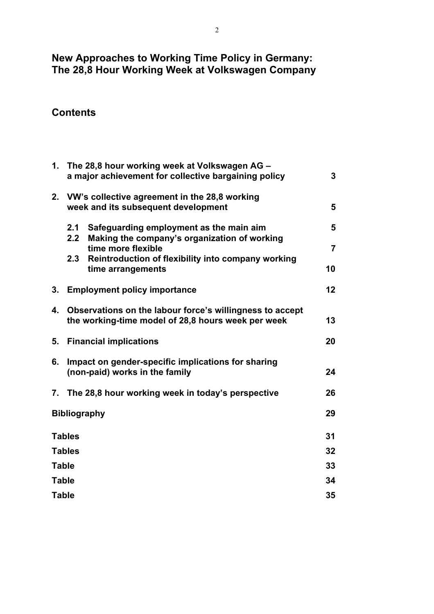# **New Approaches to Working Time Policy in Germany: The 28,8 Hour Working Week at Volkswagen Company**

# **Contents**

| 1. | The 28,8 hour working week at Volkswagen AG -<br>a major achievement for collective bargaining policy          |                |  |
|----|----------------------------------------------------------------------------------------------------------------|----------------|--|
| 2. | VW's collective agreement in the 28,8 working<br>week and its subsequent development                           |                |  |
|    | 2.1<br>Safeguarding employment as the main aim                                                                 | 5              |  |
|    | 2.2<br>Making the company's organization of working<br>time more flexible                                      | $\overline{7}$ |  |
|    | 2.3<br>Reintroduction of flexibility into company working<br>time arrangements                                 | 10             |  |
| 3. | <b>Employment policy importance</b>                                                                            | 12             |  |
| 4. | Observations on the labour force's willingness to accept<br>the working-time model of 28,8 hours week per week |                |  |
| 5. | <b>Financial implications</b>                                                                                  | 20             |  |
| 6. | Impact on gender-specific implications for sharing<br>(non-paid) works in the family                           | 24             |  |
|    | 7. The 28.8 hour working week in today's perspective                                                           | 26             |  |
|    | <b>Bibliography</b>                                                                                            | 29             |  |
|    | <b>Tables</b>                                                                                                  | 31             |  |
|    | <b>Tables</b>                                                                                                  | 32             |  |
|    | <b>Table</b>                                                                                                   | 33             |  |
|    | <b>Table</b>                                                                                                   | 34             |  |
|    | <b>Table</b>                                                                                                   | 35             |  |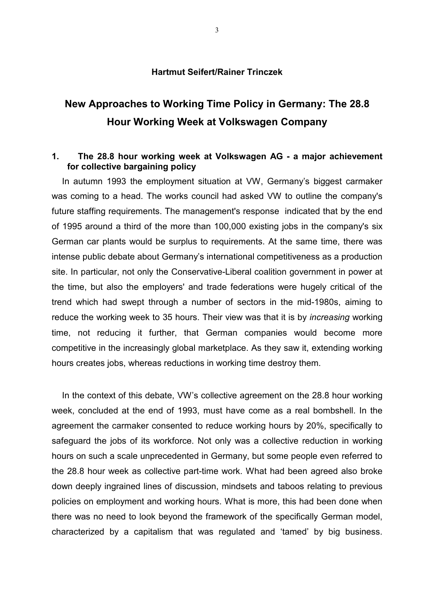#### **Hartmut Seifert/Rainer Trinczek**

# **New Approaches to Working Time Policy in Germany: The 28.8 Hour Working Week at Volkswagen Company**

## **1. The 28.8 hour working week at Volkswagen AG - a major achievement for collective bargaining policy**

In autumn 1993 the employment situation at VW, Germany's biggest carmaker was coming to a head. The works council had asked VW to outline the company's future staffing requirements. The management's response indicated that by the end of 1995 around a third of the more than 100,000 existing jobs in the company's six German car plants would be surplus to requirements. At the same time, there was intense public debate about Germany's international competitiveness as a production site. In particular, not only the Conservative-Liberal coalition government in power at the time, but also the employers' and trade federations were hugely critical of the trend which had swept through a number of sectors in the mid-1980s, aiming to reduce the working week to 35 hours. Their view was that it is by *increasing* working time, not reducing it further, that German companies would become more competitive in the increasingly global marketplace. As they saw it, extending working hours creates jobs, whereas reductions in working time destroy them.

In the context of this debate, VW's collective agreement on the 28.8 hour working week, concluded at the end of 1993, must have come as a real bombshell. In the agreement the carmaker consented to reduce working hours by 20%, specifically to safeguard the jobs of its workforce. Not only was a collective reduction in working hours on such a scale unprecedented in Germany, but some people even referred to the 28.8 hour week as collective part-time work. What had been agreed also broke down deeply ingrained lines of discussion, mindsets and taboos relating to previous policies on employment and working hours. What is more, this had been done when there was no need to look beyond the framework of the specifically German model, characterized by a capitalism that was regulated and 'tamed' by big business.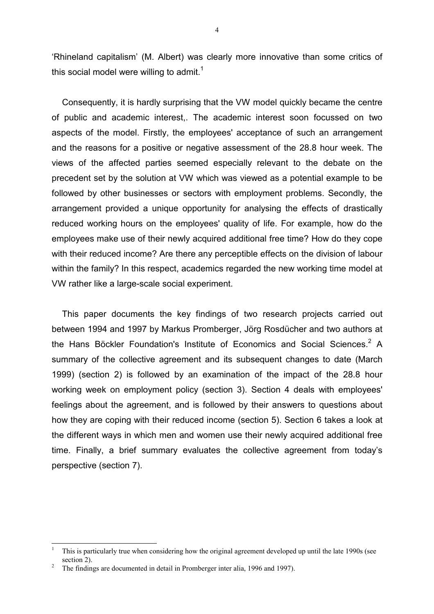'Rhineland capitalism' (M. Albert) was clearly more innovative than some critics of this social model were willing to admit.<sup>1</sup>

Consequently, it is hardly surprising that the VW model quickly became the centre of public and academic interest,. The academic interest soon focussed on two aspects of the model. Firstly, the employees' acceptance of such an arrangement and the reasons for a positive or negative assessment of the 28.8 hour week. The views of the affected parties seemed especially relevant to the debate on the precedent set by the solution at VW which was viewed as a potential example to be followed by other businesses or sectors with employment problems. Secondly, the arrangement provided a unique opportunity for analysing the effects of drastically reduced working hours on the employees' quality of life. For example, how do the employees make use of their newly acquired additional free time? How do they cope with their reduced income? Are there any perceptible effects on the division of labour within the family? In this respect, academics regarded the new working time model at VW rather like a large-scale social experiment.

This paper documents the key findings of two research projects carried out between 1994 and 1997 by Markus Promberger, Jörg Rosdücher and two authors at the Hans Böckler Foundation's Institute of Economics and Social Sciences.<sup>2</sup> A summary of the collective agreement and its subsequent changes to date (March 1999) (section 2) is followed by an examination of the impact of the 28.8 hour working week on employment policy (section 3). Section 4 deals with employees' feelings about the agreement, and is followed by their answers to questions about how they are coping with their reduced income (section 5). Section 6 takes a look at the different ways in which men and women use their newly acquired additional free time. Finally, a brief summary evaluates the collective agreement from today's perspective (section 7).

 $\mathbf{1}$ <sup>1</sup> This is particularly true when considering how the original agreement developed up until the late 1990s (see section 2).

<sup>&</sup>lt;sup>2</sup> The findings are documented in detail in Promberger inter alia, 1996 and 1997).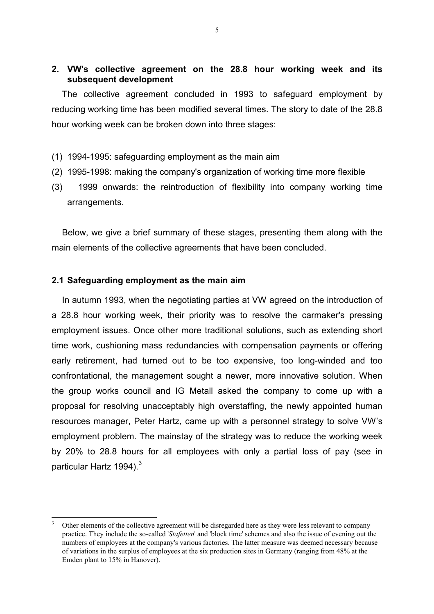## **2. VW's collective agreement on the 28.8 hour working week and its subsequent development**

The collective agreement concluded in 1993 to safeguard employment by reducing working time has been modified several times. The story to date of the 28.8 hour working week can be broken down into three stages:

- (1) 1994-1995: safeguarding employment as the main aim
- (2) 1995-1998: making the company's organization of working time more flexible
- (3) 1999 onwards: the reintroduction of flexibility into company working time arrangements.

Below, we give a brief summary of these stages, presenting them along with the main elements of the collective agreements that have been concluded.

#### **2.1 Safeguarding employment as the main aim**

l

In autumn 1993, when the negotiating parties at VW agreed on the introduction of a 28.8 hour working week, their priority was to resolve the carmaker's pressing employment issues. Once other more traditional solutions, such as extending short time work, cushioning mass redundancies with compensation payments or offering early retirement, had turned out to be too expensive, too long-winded and too confrontational, the management sought a newer, more innovative solution. When the group works council and IG Metall asked the company to come up with a proposal for resolving unacceptably high overstaffing, the newly appointed human resources manager, Peter Hartz, came up with a personnel strategy to solve VW's employment problem. The mainstay of the strategy was to reduce the working week by 20% to 28.8 hours for all employees with only a partial loss of pay (see in particular Hartz 1994).<sup>3</sup>

Other elements of the collective agreement will be disregarded here as they were less relevant to company practice. They include the so-called '*Stafetten*' and 'block time' schemes and also the issue of evening out the numbers of employees at the company's various factories. The latter measure was deemed necessary because of variations in the surplus of employees at the six production sites in Germany (ranging from 48% at the Emden plant to 15% in Hanover).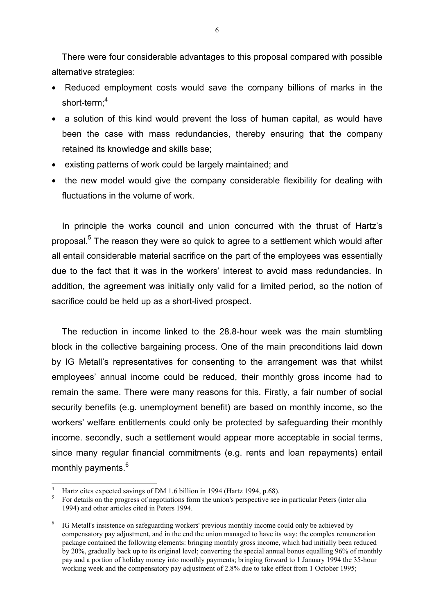There were four considerable advantages to this proposal compared with possible alternative strategies:

- Reduced employment costs would save the company billions of marks in the short-term;<sup>4</sup>
- a solution of this kind would prevent the loss of human capital, as would have been the case with mass redundancies, thereby ensuring that the company retained its knowledge and skills base;
- existing patterns of work could be largely maintained; and
- the new model would give the company considerable flexibility for dealing with fluctuations in the volume of work.

In principle the works council and union concurred with the thrust of Hartz's proposal.<sup>5</sup> The reason they were so quick to agree to a settlement which would after all entail considerable material sacrifice on the part of the employees was essentially due to the fact that it was in the workers' interest to avoid mass redundancies. In addition, the agreement was initially only valid for a limited period, so the notion of sacrifice could be held up as a short-lived prospect.

The reduction in income linked to the 28.8-hour week was the main stumbling block in the collective bargaining process. One of the main preconditions laid down by IG Metall's representatives for consenting to the arrangement was that whilst employees' annual income could be reduced, their monthly gross income had to remain the same. There were many reasons for this. Firstly, a fair number of social security benefits (e.g. unemployment benefit) are based on monthly income, so the workers' welfare entitlements could only be protected by safeguarding their monthly income. secondly, such a settlement would appear more acceptable in social terms, since many regular financial commitments (e.g. rents and loan repayments) entail monthly payments.<sup>6</sup>

<sup>4</sup> Hartz cites expected savings of DM 1.6 billion in 1994 (Hartz 1994, p.68).

<sup>5</sup> For details on the progress of negotiations form the union's perspective see in particular Peters (inter alia 1994) and other articles cited in Peters 1994.

<sup>&</sup>lt;sup>6</sup> IG Metall's insistence on safeguarding workers' previous monthly income could only be achieved by compensatory pay adjustment, and in the end the union managed to have its way: the complex remuneration package contained the following elements: bringing monthly gross income, which had initially been reduced by 20%, gradually back up to its original level; converting the special annual bonus equalling 96% of monthly pay and a portion of holiday money into monthly payments; bringing forward to 1 January 1994 the 35-hour working week and the compensatory pay adjustment of 2.8% due to take effect from 1 October 1995;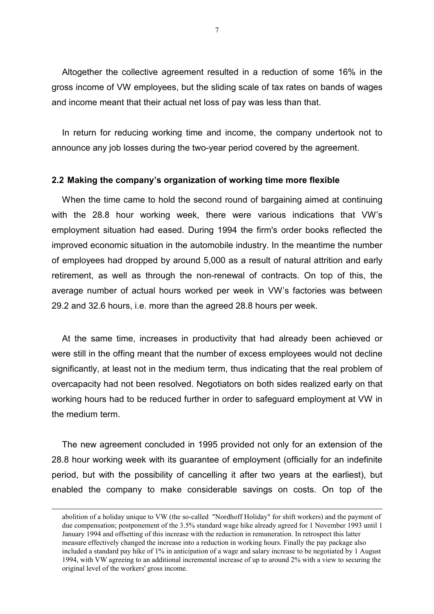Altogether the collective agreement resulted in a reduction of some 16% in the gross income of VW employees, but the sliding scale of tax rates on bands of wages and income meant that their actual net loss of pay was less than that.

In return for reducing working time and income, the company undertook not to announce any job losses during the two-year period covered by the agreement.

#### **2.2 Making the company's organization of working time more flexible**

When the time came to hold the second round of bargaining aimed at continuing with the 28.8 hour working week, there were various indications that VW's employment situation had eased. During 1994 the firm's order books reflected the improved economic situation in the automobile industry. In the meantime the number of employees had dropped by around 5,000 as a result of natural attrition and early retirement, as well as through the non-renewal of contracts. On top of this, the average number of actual hours worked per week in VW's factories was between 29.2 and 32.6 hours, i.e. more than the agreed 28.8 hours per week.

At the same time, increases in productivity that had already been achieved or were still in the offing meant that the number of excess employees would not decline significantly, at least not in the medium term, thus indicating that the real problem of overcapacity had not been resolved. Negotiators on both sides realized early on that working hours had to be reduced further in order to safeguard employment at VW in the medium term.

The new agreement concluded in 1995 provided not only for an extension of the 28.8 hour working week with its guarantee of employment (officially for an indefinite period, but with the possibility of cancelling it after two years at the earliest), but enabled the company to make considerable savings on costs. On top of the

abolition of a holiday unique to VW (the so-called "Nordhoff Holiday" for shift workers) and the payment of due compensation; postponement of the 3.5% standard wage hike already agreed for 1 November 1993 until 1 January 1994 and offsetting of this increase with the reduction in remuneration. In retrospect this latter measure effectively changed the increase into a reduction in working hours. Finally the pay package also included a standard pay hike of 1% in anticipation of a wage and salary increase to be negotiated by 1 August 1994, with VW agreeing to an additional incremental increase of up to around 2% with a view to securing the original level of the workers' gross income.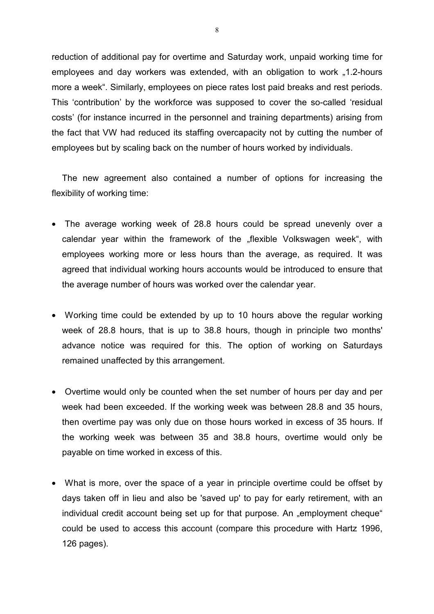reduction of additional pay for overtime and Saturday work, unpaid working time for employees and day workers was extended, with an obligation to work "1.2-hours more a week". Similarly, employees on piece rates lost paid breaks and rest periods. This 'contribution' by the workforce was supposed to cover the so-called 'residual costs' (for instance incurred in the personnel and training departments) arising from the fact that VW had reduced its staffing overcapacity not by cutting the number of employees but by scaling back on the number of hours worked by individuals.

The new agreement also contained a number of options for increasing the flexibility of working time:

- The average working week of 28.8 hours could be spread unevenly over a calendar year within the framework of the "flexible Volkswagen week", with employees working more or less hours than the average, as required. It was agreed that individual working hours accounts would be introduced to ensure that the average number of hours was worked over the calendar year.
- Working time could be extended by up to 10 hours above the regular working week of 28.8 hours, that is up to 38.8 hours, though in principle two months' advance notice was required for this. The option of working on Saturdays remained unaffected by this arrangement.
- Overtime would only be counted when the set number of hours per day and per week had been exceeded. If the working week was between 28.8 and 35 hours, then overtime pay was only due on those hours worked in excess of 35 hours. If the working week was between 35 and 38.8 hours, overtime would only be payable on time worked in excess of this.
- What is more, over the space of a year in principle overtime could be offset by days taken off in lieu and also be 'saved up' to pay for early retirement, with an individual credit account being set up for that purpose. An "employment cheque" could be used to access this account (compare this procedure with Hartz 1996, 126 pages).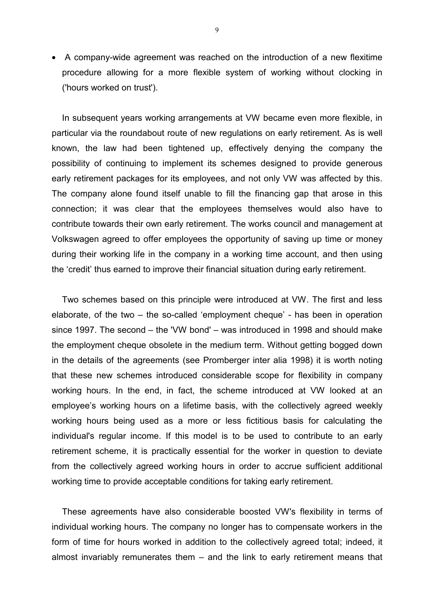• A company-wide agreement was reached on the introduction of a new flexitime procedure allowing for a more flexible system of working without clocking in ('hours worked on trust').

In subsequent years working arrangements at VW became even more flexible, in particular via the roundabout route of new regulations on early retirement. As is well known, the law had been tightened up, effectively denying the company the possibility of continuing to implement its schemes designed to provide generous early retirement packages for its employees, and not only VW was affected by this. The company alone found itself unable to fill the financing gap that arose in this connection; it was clear that the employees themselves would also have to contribute towards their own early retirement. The works council and management at Volkswagen agreed to offer employees the opportunity of saving up time or money during their working life in the company in a working time account, and then using the 'credit' thus earned to improve their financial situation during early retirement.

Two schemes based on this principle were introduced at VW. The first and less elaborate, of the two – the so-called 'employment cheque' - has been in operation since 1997. The second – the 'VW bond' – was introduced in 1998 and should make the employment cheque obsolete in the medium term. Without getting bogged down in the details of the agreements (see Promberger inter alia 1998) it is worth noting that these new schemes introduced considerable scope for flexibility in company working hours. In the end, in fact, the scheme introduced at VW looked at an employee's working hours on a lifetime basis, with the collectively agreed weekly working hours being used as a more or less fictitious basis for calculating the individual's regular income. If this model is to be used to contribute to an early retirement scheme, it is practically essential for the worker in question to deviate from the collectively agreed working hours in order to accrue sufficient additional working time to provide acceptable conditions for taking early retirement.

These agreements have also considerable boosted VW's flexibility in terms of individual working hours. The company no longer has to compensate workers in the form of time for hours worked in addition to the collectively agreed total; indeed, it almost invariably remunerates them – and the link to early retirement means that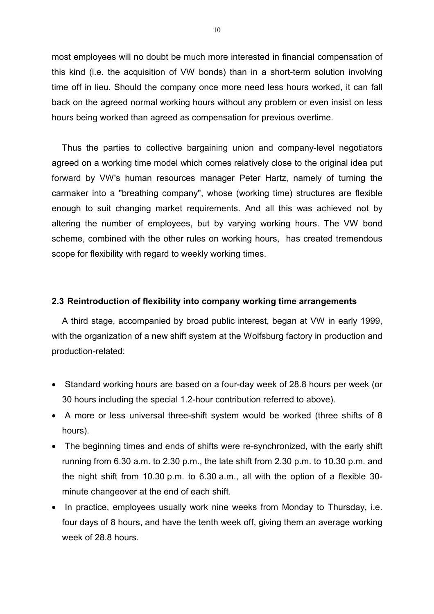most employees will no doubt be much more interested in financial compensation of this kind (i.e. the acquisition of VW bonds) than in a short-term solution involving time off in lieu. Should the company once more need less hours worked, it can fall back on the agreed normal working hours without any problem or even insist on less hours being worked than agreed as compensation for previous overtime.

Thus the parties to collective bargaining union and company-level negotiators agreed on a working time model which comes relatively close to the original idea put forward by VW's human resources manager Peter Hartz, namely of turning the carmaker into a "breathing company", whose (working time) structures are flexible enough to suit changing market requirements. And all this was achieved not by altering the number of employees, but by varying working hours. The VW bond scheme, combined with the other rules on working hours, has created tremendous scope for flexibility with regard to weekly working times.

### **2.3 Reintroduction of flexibility into company working time arrangements**

A third stage, accompanied by broad public interest, began at VW in early 1999, with the organization of a new shift system at the Wolfsburg factory in production and production-related:

- Standard working hours are based on a four-day week of 28.8 hours per week (or 30 hours including the special 1.2-hour contribution referred to above).
- A more or less universal three-shift system would be worked (three shifts of 8 hours).
- The beginning times and ends of shifts were re-synchronized, with the early shift running from 6.30 a.m. to 2.30 p.m., the late shift from 2.30 p.m. to 10.30 p.m. and the night shift from 10.30 p.m. to 6.30 a.m., all with the option of a flexible 30 minute changeover at the end of each shift.
- In practice, employees usually work nine weeks from Monday to Thursday, i.e. four days of 8 hours, and have the tenth week off, giving them an average working week of 28.8 hours.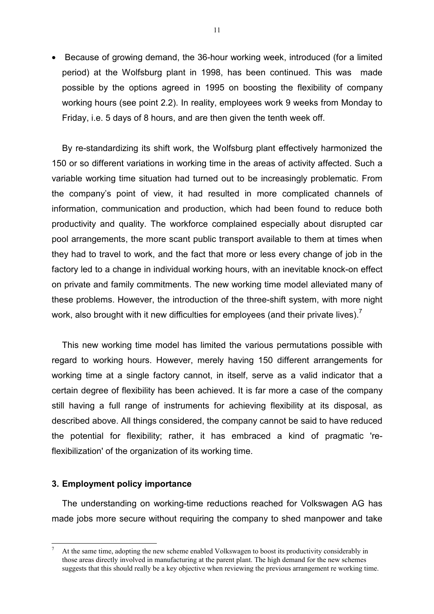• Because of growing demand, the 36-hour working week, introduced (for a limited period) at the Wolfsburg plant in 1998, has been continued. This was made possible by the options agreed in 1995 on boosting the flexibility of company working hours (see point 2.2). In reality, employees work 9 weeks from Monday to Friday, i.e. 5 days of 8 hours, and are then given the tenth week off.

By re-standardizing its shift work, the Wolfsburg plant effectively harmonized the 150 or so different variations in working time in the areas of activity affected. Such a variable working time situation had turned out to be increasingly problematic. From the company's point of view, it had resulted in more complicated channels of information, communication and production, which had been found to reduce both productivity and quality. The workforce complained especially about disrupted car pool arrangements, the more scant public transport available to them at times when they had to travel to work, and the fact that more or less every change of job in the factory led to a change in individual working hours, with an inevitable knock-on effect on private and family commitments. The new working time model alleviated many of these problems. However, the introduction of the three-shift system, with more night work, also brought with it new difficulties for employees (and their private lives).<sup>7</sup>

This new working time model has limited the various permutations possible with regard to working hours. However, merely having 150 different arrangements for working time at a single factory cannot, in itself, serve as a valid indicator that a certain degree of flexibility has been achieved. It is far more a case of the company still having a full range of instruments for achieving flexibility at its disposal, as described above. All things considered, the company cannot be said to have reduced the potential for flexibility; rather, it has embraced a kind of pragmatic 'reflexibilization' of the organization of its working time.

## **3. Employment policy importance**

 $\overline{a}$ 

The understanding on working-time reductions reached for Volkswagen AG has made jobs more secure without requiring the company to shed manpower and take

<sup>7</sup> At the same time, adopting the new scheme enabled Volkswagen to boost its productivity considerably in those areas directly involved in manufacturing at the parent plant. The high demand for the new schemes suggests that this should really be a key objective when reviewing the previous arrangement re working time.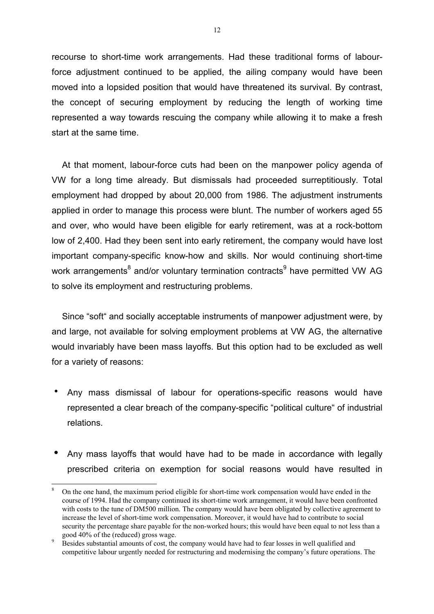recourse to short-time work arrangements. Had these traditional forms of labourforce adjustment continued to be applied, the ailing company would have been moved into a lopsided position that would have threatened its survival. By contrast, the concept of securing employment by reducing the length of working time represented a way towards rescuing the company while allowing it to make a fresh start at the same time.

At that moment, labour-force cuts had been on the manpower policy agenda of VW for a long time already. But dismissals had proceeded surreptitiously. Total employment had dropped by about 20,000 from 1986. The adjustment instruments applied in order to manage this process were blunt. The number of workers aged 55 and over, who would have been eligible for early retirement, was at a rock-bottom low of 2,400. Had they been sent into early retirement, the company would have lost important company-specific know-how and skills. Nor would continuing short-time work arrangements<sup>8</sup> and/or voluntary termination contracts<sup>9</sup> have permitted VW AG to solve its employment and restructuring problems.

Since "soft" and socially acceptable instruments of manpower adjustment were, by and large, not available for solving employment problems at VW AG, the alternative would invariably have been mass layoffs. But this option had to be excluded as well for a variety of reasons:

- ! Any mass dismissal of labour for operations-specific reasons would have represented a clear breach of the company-specific "political culture" of industrial relations.
- Any mass layoffs that would have had to be made in accordance with legally prescribed criteria on exemption for social reasons would have resulted in

<sup>8</sup> On the one hand, the maximum period eligible for short-time work compensation would have ended in the course of 1994. Had the company continued its short-time work arrangement, it would have been confronted with costs to the tune of DM500 million. The company would have been obligated by collective agreement to increase the level of short-time work compensation. Moreover, it would have had to contribute to social security the percentage share payable for the non-worked hours; this would have been equal to not less than a good 40% of the (reduced) gross wage.

<sup>9</sup> Besides substantial amounts of cost, the company would have had to fear losses in well qualified and competitive labour urgently needed for restructuring and modernising the company's future operations. The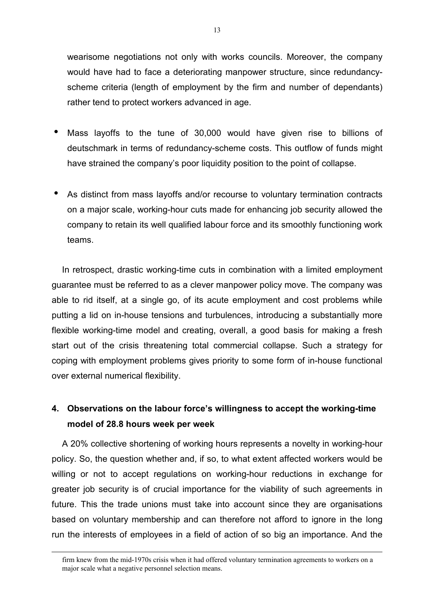wearisome negotiations not only with works councils. Moreover, the company would have had to face a deteriorating manpower structure, since redundancyscheme criteria (length of employment by the firm and number of dependants) rather tend to protect workers advanced in age.

- Mass layoffs to the tune of 30,000 would have given rise to billions of deutschmark in terms of redundancy-scheme costs. This outflow of funds might have strained the company's poor liquidity position to the point of collapse.
- As distinct from mass layoffs and/or recourse to voluntary termination contracts on a major scale, working-hour cuts made for enhancing job security allowed the company to retain its well qualified labour force and its smoothly functioning work teams.

In retrospect, drastic working-time cuts in combination with a limited employment guarantee must be referred to as a clever manpower policy move. The company was able to rid itself, at a single go, of its acute employment and cost problems while putting a lid on in-house tensions and turbulences, introducing a substantially more flexible working-time model and creating, overall, a good basis for making a fresh start out of the crisis threatening total commercial collapse. Such a strategy for coping with employment problems gives priority to some form of in-house functional over external numerical flexibility.

# **4. Observations on the labour force's willingness to accept the working-time model of 28.8 hours week per week**

A 20% collective shortening of working hours represents a novelty in working-hour policy. So, the question whether and, if so, to what extent affected workers would be willing or not to accept regulations on working-hour reductions in exchange for greater job security is of crucial importance for the viability of such agreements in future. This the trade unions must take into account since they are organisations based on voluntary membership and can therefore not afford to ignore in the long run the interests of employees in a field of action of so big an importance. And the

firm knew from the mid-1970s crisis when it had offered voluntary termination agreements to workers on a major scale what a negative personnel selection means.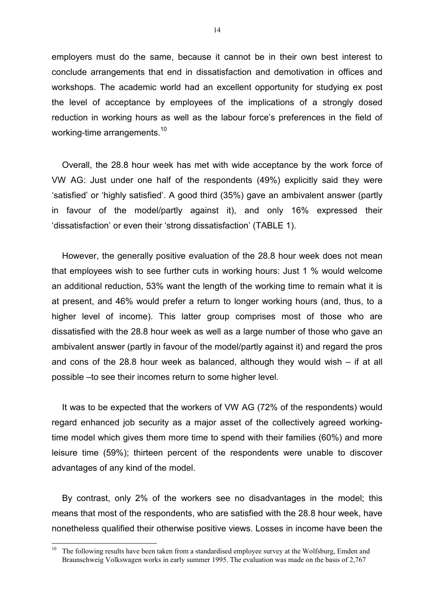employers must do the same, because it cannot be in their own best interest to conclude arrangements that end in dissatisfaction and demotivation in offices and workshops. The academic world had an excellent opportunity for studying ex post the level of acceptance by employees of the implications of a strongly dosed reduction in working hours as well as the labour force's preferences in the field of working-time arrangements.<sup>10</sup>

Overall, the 28.8 hour week has met with wide acceptance by the work force of VW AG: Just under one half of the respondents (49%) explicitly said they were 'satisfied' or 'highly satisfied'. A good third (35%) gave an ambivalent answer (partly in favour of the model/partly against it), and only 16% expressed their 'dissatisfaction' or even their 'strong dissatisfaction' (TABLE 1).

However, the generally positive evaluation of the 28.8 hour week does not mean that employees wish to see further cuts in working hours: Just 1 % would welcome an additional reduction, 53% want the length of the working time to remain what it is at present, and 46% would prefer a return to longer working hours (and, thus, to a higher level of income). This latter group comprises most of those who are dissatisfied with the 28.8 hour week as well as a large number of those who gave an ambivalent answer (partly in favour of the model/partly against it) and regard the pros and cons of the 28.8 hour week as balanced, although they would wish – if at all possible –to see their incomes return to some higher level.

It was to be expected that the workers of VW AG (72% of the respondents) would regard enhanced job security as a major asset of the collectively agreed workingtime model which gives them more time to spend with their families (60%) and more leisure time (59%); thirteen percent of the respondents were unable to discover advantages of any kind of the model.

By contrast, only 2% of the workers see no disadvantages in the model; this means that most of the respondents, who are satisfied with the 28.8 hour week, have nonetheless qualified their otherwise positive views. Losses in income have been the

The following results have been taken from a standardised employee survey at the Wolfsburg, Emden and Braunschweig Volkswagen works in early summer 1995. The evaluation was made on the basis of 2,767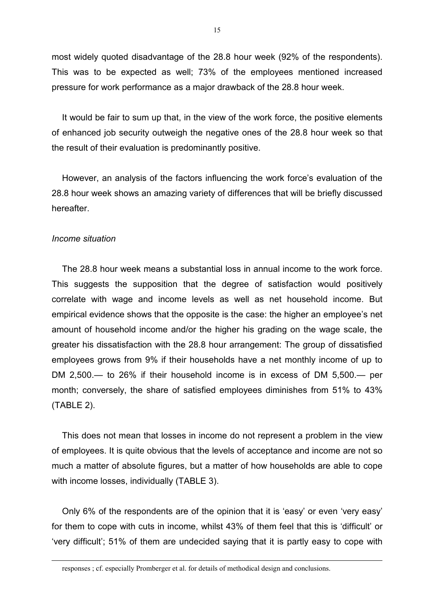most widely quoted disadvantage of the 28.8 hour week (92% of the respondents). This was to be expected as well; 73% of the employees mentioned increased pressure for work performance as a major drawback of the 28.8 hour week.

It would be fair to sum up that, in the view of the work force, the positive elements of enhanced job security outweigh the negative ones of the 28.8 hour week so that the result of their evaluation is predominantly positive.

However, an analysis of the factors influencing the work force's evaluation of the 28.8 hour week shows an amazing variety of differences that will be briefly discussed hereafter.

### *Income situation*

l

The 28.8 hour week means a substantial loss in annual income to the work force. This suggests the supposition that the degree of satisfaction would positively correlate with wage and income levels as well as net household income. But empirical evidence shows that the opposite is the case: the higher an employee's net amount of household income and/or the higher his grading on the wage scale, the greater his dissatisfaction with the 28.8 hour arrangement: The group of dissatisfied employees grows from 9% if their households have a net monthly income of up to DM 2,500.— to 26% if their household income is in excess of DM 5,500.— per month; conversely, the share of satisfied employees diminishes from 51% to 43% (TABLE 2).

This does not mean that losses in income do not represent a problem in the view of employees. It is quite obvious that the levels of acceptance and income are not so much a matter of absolute figures, but a matter of how households are able to cope with income losses, individually (TABLE 3).

Only 6% of the respondents are of the opinion that it is 'easy' or even 'very easy' for them to cope with cuts in income, whilst 43% of them feel that this is 'difficult' or 'very difficult'; 51% of them are undecided saying that it is partly easy to cope with

responses ; cf. especially Promberger et al. for details of methodical design and conclusions.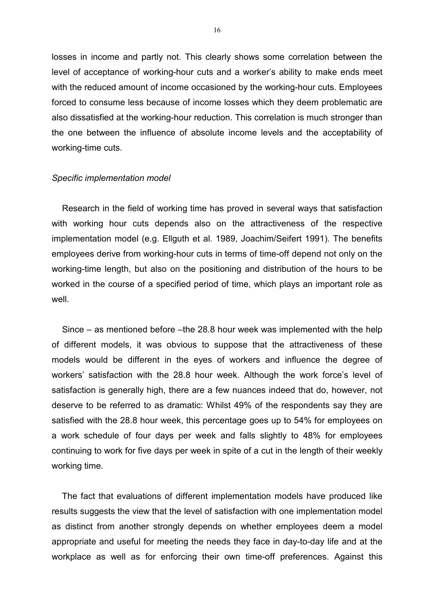losses in income and partly not. This clearly shows some correlation between the level of acceptance of working-hour cuts and a worker's ability to make ends meet with the reduced amount of income occasioned by the working-hour cuts. Employees forced to consume less because of income losses which they deem problematic are also dissatisfied at the working-hour reduction. This correlation is much stronger than the one between the influence of absolute income levels and the acceptability of working-time cuts.

#### *Specific implementation model*

Research in the field of working time has proved in several ways that satisfaction with working hour cuts depends also on the attractiveness of the respective implementation model (e.g. Ellguth et al. 1989, Joachim/Seifert 1991). The benefits employees derive from working-hour cuts in terms of time-off depend not only on the working-time length, but also on the positioning and distribution of the hours to be worked in the course of a specified period of time, which plays an important role as well

Since – as mentioned before –the 28.8 hour week was implemented with the help of different models, it was obvious to suppose that the attractiveness of these models would be different in the eyes of workers and influence the degree of workers' satisfaction with the 28.8 hour week. Although the work force's level of satisfaction is generally high, there are a few nuances indeed that do, however, not deserve to be referred to as dramatic: Whilst 49% of the respondents say they are satisfied with the 28.8 hour week, this percentage goes up to 54% for employees on a work schedule of four days per week and falls slightly to 48% for employees continuing to work for five days per week in spite of a cut in the length of their weekly working time.

The fact that evaluations of different implementation models have produced like results suggests the view that the level of satisfaction with one implementation model as distinct from another strongly depends on whether employees deem a model appropriate and useful for meeting the needs they face in day-to-day life and at the workplace as well as for enforcing their own time-off preferences. Against this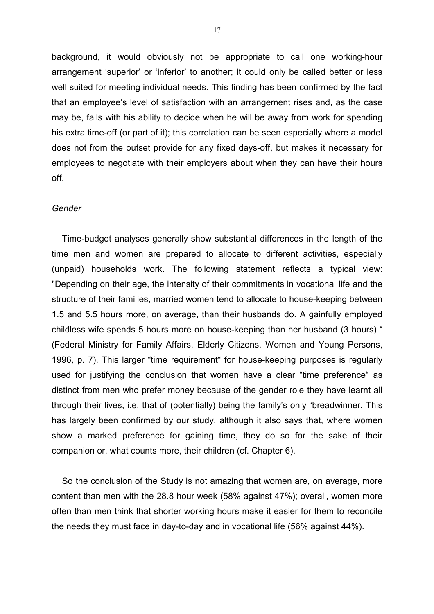background, it would obviously not be appropriate to call one working-hour arrangement 'superior' or 'inferior' to another; it could only be called better or less well suited for meeting individual needs. This finding has been confirmed by the fact that an employee's level of satisfaction with an arrangement rises and, as the case may be, falls with his ability to decide when he will be away from work for spending his extra time-off (or part of it); this correlation can be seen especially where a model does not from the outset provide for any fixed days-off, but makes it necessary for employees to negotiate with their employers about when they can have their hours off.

#### *Gender*

Time-budget analyses generally show substantial differences in the length of the time men and women are prepared to allocate to different activities, especially (unpaid) households work. The following statement reflects a typical view: "Depending on their age, the intensity of their commitments in vocational life and the structure of their families, married women tend to allocate to house-keeping between 1.5 and 5.5 hours more, on average, than their husbands do. A gainfully employed childless wife spends 5 hours more on house-keeping than her husband (3 hours) " (Federal Ministry for Family Affairs, Elderly Citizens, Women and Young Persons, 1996, p. 7). This larger "time requirement" for house-keeping purposes is regularly used for justifying the conclusion that women have a clear "time preference" as distinct from men who prefer money because of the gender role they have learnt all through their lives, i.e. that of (potentially) being the family's only "breadwinner. This has largely been confirmed by our study, although it also says that, where women show a marked preference for gaining time, they do so for the sake of their companion or, what counts more, their children (cf. Chapter 6).

So the conclusion of the Study is not amazing that women are, on average, more content than men with the 28.8 hour week (58% against 47%); overall, women more often than men think that shorter working hours make it easier for them to reconcile the needs they must face in day-to-day and in vocational life (56% against 44%).

17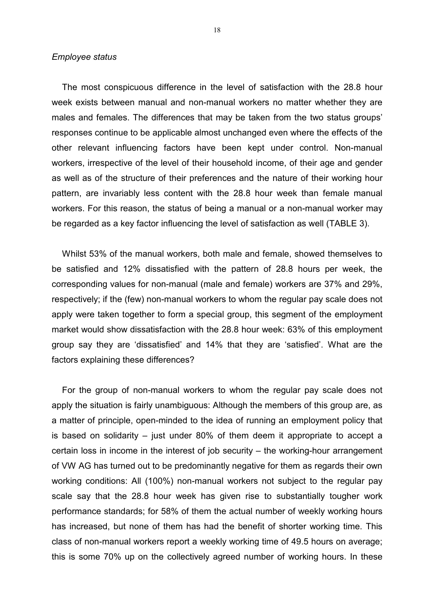#### *Employee status*

The most conspicuous difference in the level of satisfaction with the 28.8 hour week exists between manual and non-manual workers no matter whether they are males and females. The differences that may be taken from the two status groups' responses continue to be applicable almost unchanged even where the effects of the other relevant influencing factors have been kept under control. Non-manual workers, irrespective of the level of their household income, of their age and gender as well as of the structure of their preferences and the nature of their working hour pattern, are invariably less content with the 28.8 hour week than female manual workers. For this reason, the status of being a manual or a non-manual worker may be regarded as a key factor influencing the level of satisfaction as well (TABLE 3).

Whilst 53% of the manual workers, both male and female, showed themselves to be satisfied and 12% dissatisfied with the pattern of 28.8 hours per week, the corresponding values for non-manual (male and female) workers are 37% and 29%, respectively; if the (few) non-manual workers to whom the regular pay scale does not apply were taken together to form a special group, this segment of the employment market would show dissatisfaction with the 28.8 hour week: 63% of this employment group say they are 'dissatisfied' and 14% that they are 'satisfied'. What are the factors explaining these differences?

For the group of non-manual workers to whom the regular pay scale does not apply the situation is fairly unambiguous: Although the members of this group are, as a matter of principle, open-minded to the idea of running an employment policy that is based on solidarity – just under 80% of them deem it appropriate to accept a certain loss in income in the interest of job security – the working-hour arrangement of VW AG has turned out to be predominantly negative for them as regards their own working conditions: All (100%) non-manual workers not subject to the regular pay scale say that the 28.8 hour week has given rise to substantially tougher work performance standards; for 58% of them the actual number of weekly working hours has increased, but none of them has had the benefit of shorter working time. This class of non-manual workers report a weekly working time of 49.5 hours on average; this is some 70% up on the collectively agreed number of working hours. In these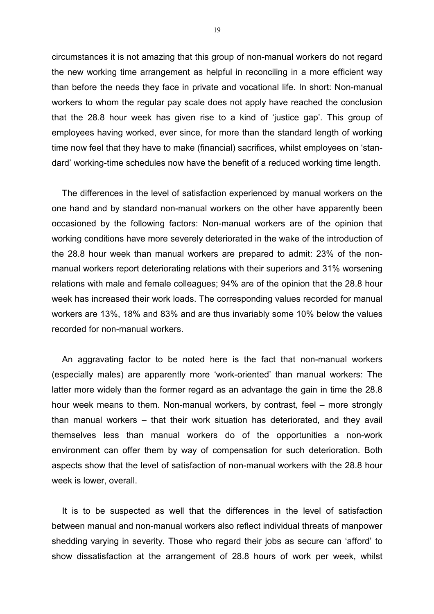circumstances it is not amazing that this group of non-manual workers do not regard the new working time arrangement as helpful in reconciling in a more efficient way than before the needs they face in private and vocational life. In short: Non-manual workers to whom the regular pay scale does not apply have reached the conclusion that the 28.8 hour week has given rise to a kind of 'justice gap'. This group of employees having worked, ever since, for more than the standard length of working time now feel that they have to make (financial) sacrifices, whilst employees on 'standard' working-time schedules now have the benefit of a reduced working time length.

The differences in the level of satisfaction experienced by manual workers on the one hand and by standard non-manual workers on the other have apparently been occasioned by the following factors: Non-manual workers are of the opinion that working conditions have more severely deteriorated in the wake of the introduction of the 28.8 hour week than manual workers are prepared to admit: 23% of the nonmanual workers report deteriorating relations with their superiors and 31% worsening relations with male and female colleagues; 94% are of the opinion that the 28.8 hour week has increased their work loads. The corresponding values recorded for manual workers are 13%, 18% and 83% and are thus invariably some 10% below the values recorded for non-manual workers.

An aggravating factor to be noted here is the fact that non-manual workers (especially males) are apparently more 'work-oriented' than manual workers: The latter more widely than the former regard as an advantage the gain in time the 28.8 hour week means to them. Non-manual workers, by contrast, feel – more strongly than manual workers – that their work situation has deteriorated, and they avail themselves less than manual workers do of the opportunities a non-work environment can offer them by way of compensation for such deterioration. Both aspects show that the level of satisfaction of non-manual workers with the 28.8 hour week is lower, overall.

It is to be suspected as well that the differences in the level of satisfaction between manual and non-manual workers also reflect individual threats of manpower shedding varying in severity. Those who regard their jobs as secure can 'afford' to show dissatisfaction at the arrangement of 28.8 hours of work per week, whilst

19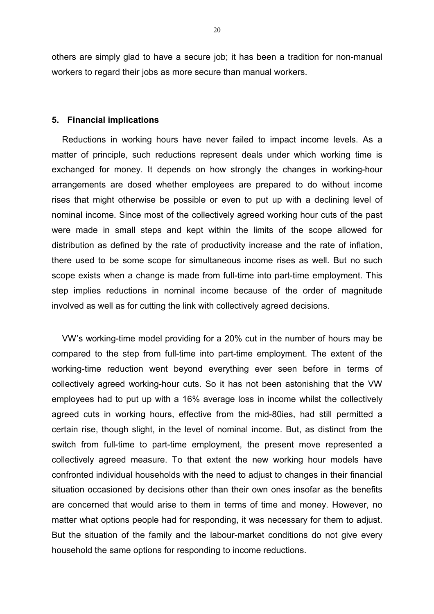others are simply glad to have a secure job; it has been a tradition for non-manual workers to regard their jobs as more secure than manual workers.

#### **5. Financial implications**

Reductions in working hours have never failed to impact income levels. As a matter of principle, such reductions represent deals under which working time is exchanged for money. It depends on how strongly the changes in working-hour arrangements are dosed whether employees are prepared to do without income rises that might otherwise be possible or even to put up with a declining level of nominal income. Since most of the collectively agreed working hour cuts of the past were made in small steps and kept within the limits of the scope allowed for distribution as defined by the rate of productivity increase and the rate of inflation, there used to be some scope for simultaneous income rises as well. But no such scope exists when a change is made from full-time into part-time employment. This step implies reductions in nominal income because of the order of magnitude involved as well as for cutting the link with collectively agreed decisions.

VW's working-time model providing for a 20% cut in the number of hours may be compared to the step from full-time into part-time employment. The extent of the working-time reduction went beyond everything ever seen before in terms of collectively agreed working-hour cuts. So it has not been astonishing that the VW employees had to put up with a 16% average loss in income whilst the collectively agreed cuts in working hours, effective from the mid-80ies, had still permitted a certain rise, though slight, in the level of nominal income. But, as distinct from the switch from full-time to part-time employment, the present move represented a collectively agreed measure. To that extent the new working hour models have confronted individual households with the need to adjust to changes in their financial situation occasioned by decisions other than their own ones insofar as the benefits are concerned that would arise to them in terms of time and money. However, no matter what options people had for responding, it was necessary for them to adjust. But the situation of the family and the labour-market conditions do not give every household the same options for responding to income reductions.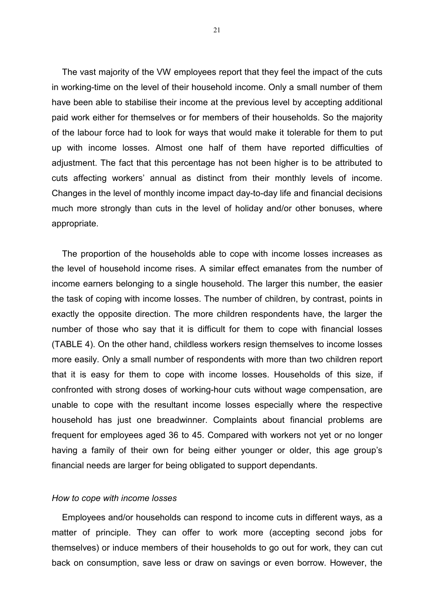The vast majority of the VW employees report that they feel the impact of the cuts in working-time on the level of their household income. Only a small number of them have been able to stabilise their income at the previous level by accepting additional paid work either for themselves or for members of their households. So the majority of the labour force had to look for ways that would make it tolerable for them to put up with income losses. Almost one half of them have reported difficulties of adjustment. The fact that this percentage has not been higher is to be attributed to cuts affecting workers' annual as distinct from their monthly levels of income. Changes in the level of monthly income impact day-to-day life and financial decisions much more strongly than cuts in the level of holiday and/or other bonuses, where appropriate.

The proportion of the households able to cope with income losses increases as the level of household income rises. A similar effect emanates from the number of income earners belonging to a single household. The larger this number, the easier the task of coping with income losses. The number of children, by contrast, points in exactly the opposite direction. The more children respondents have, the larger the number of those who say that it is difficult for them to cope with financial losses (TABLE 4). On the other hand, childless workers resign themselves to income losses more easily. Only a small number of respondents with more than two children report that it is easy for them to cope with income losses. Households of this size, if confronted with strong doses of working-hour cuts without wage compensation, are unable to cope with the resultant income losses especially where the respective household has just one breadwinner. Complaints about financial problems are frequent for employees aged 36 to 45. Compared with workers not yet or no longer having a family of their own for being either younger or older, this age group's financial needs are larger for being obligated to support dependants.

#### *How to cope with income losses*

Employees and/or households can respond to income cuts in different ways, as a matter of principle. They can offer to work more (accepting second jobs for themselves) or induce members of their households to go out for work, they can cut back on consumption, save less or draw on savings or even borrow. However, the

21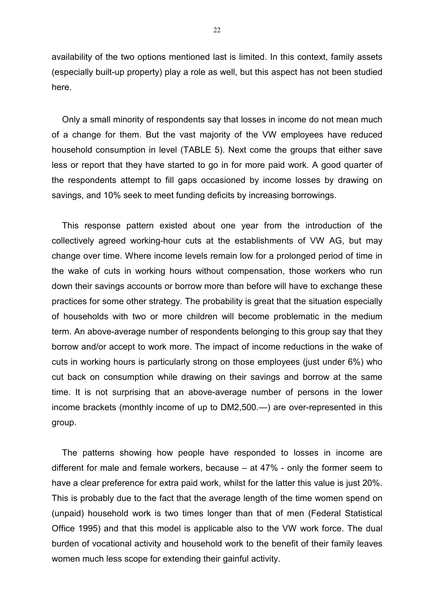availability of the two options mentioned last is limited. In this context, family assets (especially built-up property) play a role as well, but this aspect has not been studied here.

Only a small minority of respondents say that losses in income do not mean much of a change for them. But the vast majority of the VW employees have reduced household consumption in level (TABLE 5). Next come the groups that either save less or report that they have started to go in for more paid work. A good quarter of the respondents attempt to fill gaps occasioned by income losses by drawing on savings, and 10% seek to meet funding deficits by increasing borrowings.

This response pattern existed about one year from the introduction of the collectively agreed working-hour cuts at the establishments of VW AG, but may change over time. Where income levels remain low for a prolonged period of time in the wake of cuts in working hours without compensation, those workers who run down their savings accounts or borrow more than before will have to exchange these practices for some other strategy. The probability is great that the situation especially of households with two or more children will become problematic in the medium term. An above-average number of respondents belonging to this group say that they borrow and/or accept to work more. The impact of income reductions in the wake of cuts in working hours is particularly strong on those employees (just under 6%) who cut back on consumption while drawing on their savings and borrow at the same time. It is not surprising that an above-average number of persons in the lower income brackets (monthly income of up to DM2,500.—) are over-represented in this group.

The patterns showing how people have responded to losses in income are different for male and female workers, because – at 47% - only the former seem to have a clear preference for extra paid work, whilst for the latter this value is just 20%. This is probably due to the fact that the average length of the time women spend on (unpaid) household work is two times longer than that of men (Federal Statistical Office 1995) and that this model is applicable also to the VW work force. The dual burden of vocational activity and household work to the benefit of their family leaves women much less scope for extending their gainful activity.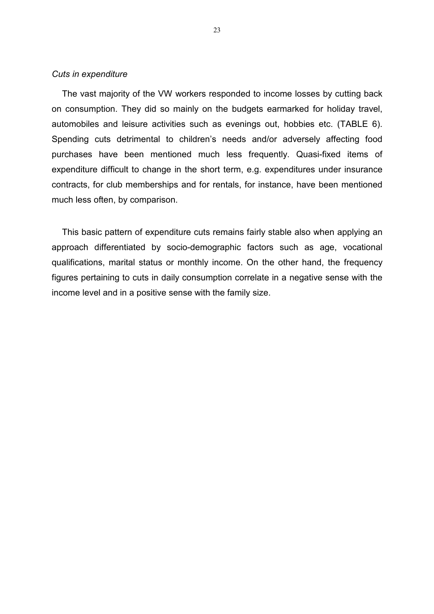#### *Cuts in expenditure*

The vast majority of the VW workers responded to income losses by cutting back on consumption. They did so mainly on the budgets earmarked for holiday travel, automobiles and leisure activities such as evenings out, hobbies etc. (TABLE 6). Spending cuts detrimental to children's needs and/or adversely affecting food purchases have been mentioned much less frequently. Quasi-fixed items of expenditure difficult to change in the short term, e.g. expenditures under insurance contracts, for club memberships and for rentals, for instance, have been mentioned much less often, by comparison.

This basic pattern of expenditure cuts remains fairly stable also when applying an approach differentiated by socio-demographic factors such as age, vocational qualifications, marital status or monthly income. On the other hand, the frequency figures pertaining to cuts in daily consumption correlate in a negative sense with the income level and in a positive sense with the family size.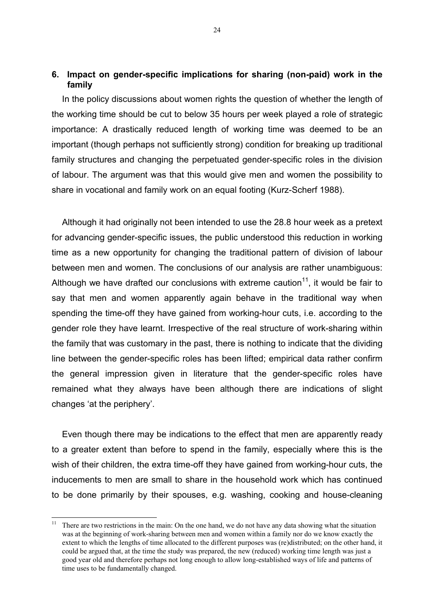## **6. Impact on gender-specific implications for sharing (non-paid) work in the family**

In the policy discussions about women rights the question of whether the length of the working time should be cut to below 35 hours per week played a role of strategic importance: A drastically reduced length of working time was deemed to be an important (though perhaps not sufficiently strong) condition for breaking up traditional family structures and changing the perpetuated gender-specific roles in the division of labour. The argument was that this would give men and women the possibility to share in vocational and family work on an equal footing (Kurz-Scherf 1988).

Although it had originally not been intended to use the 28.8 hour week as a pretext for advancing gender-specific issues, the public understood this reduction in working time as a new opportunity for changing the traditional pattern of division of labour between men and women. The conclusions of our analysis are rather unambiguous: Although we have drafted our conclusions with extreme caution<sup>11</sup>, it would be fair to say that men and women apparently again behave in the traditional way when spending the time-off they have gained from working-hour cuts, i.e. according to the gender role they have learnt. Irrespective of the real structure of work-sharing within the family that was customary in the past, there is nothing to indicate that the dividing line between the gender-specific roles has been lifted; empirical data rather confirm the general impression given in literature that the gender-specific roles have remained what they always have been although there are indications of slight changes 'at the periphery'.

Even though there may be indications to the effect that men are apparently ready to a greater extent than before to spend in the family, especially where this is the wish of their children, the extra time-off they have gained from working-hour cuts, the inducements to men are small to share in the household work which has continued to be done primarily by their spouses, e.g. washing, cooking and house-cleaning

 $11 -$ There are two restrictions in the main: On the one hand, we do not have any data showing what the situation was at the beginning of work-sharing between men and women within a family nor do we know exactly the extent to which the lengths of time allocated to the different purposes was (re)distributed; on the other hand, it could be argued that, at the time the study was prepared, the new (reduced) working time length was just a good year old and therefore perhaps not long enough to allow long-established ways of life and patterns of time uses to be fundamentally changed.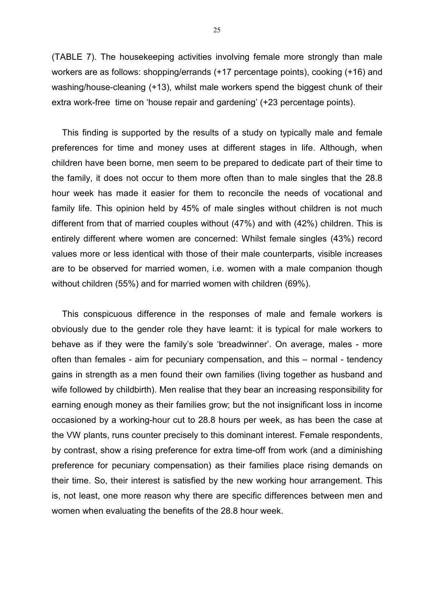(TABLE 7). The housekeeping activities involving female more strongly than male workers are as follows: shopping/errands (+17 percentage points), cooking (+16) and washing/house-cleaning (+13), whilst male workers spend the biggest chunk of their extra work-free time on 'house repair and gardening' (+23 percentage points).

This finding is supported by the results of a study on typically male and female preferences for time and money uses at different stages in life. Although, when children have been borne, men seem to be prepared to dedicate part of their time to the family, it does not occur to them more often than to male singles that the 28.8 hour week has made it easier for them to reconcile the needs of vocational and family life. This opinion held by 45% of male singles without children is not much different from that of married couples without (47%) and with (42%) children. This is entirely different where women are concerned: Whilst female singles (43%) record values more or less identical with those of their male counterparts, visible increases are to be observed for married women, i.e. women with a male companion though without children (55%) and for married women with children (69%).

This conspicuous difference in the responses of male and female workers is obviously due to the gender role they have learnt: it is typical for male workers to behave as if they were the family's sole 'breadwinner'. On average, males - more often than females - aim for pecuniary compensation, and this – normal - tendency gains in strength as a men found their own families (living together as husband and wife followed by childbirth). Men realise that they bear an increasing responsibility for earning enough money as their families grow; but the not insignificant loss in income occasioned by a working-hour cut to 28.8 hours per week, as has been the case at the VW plants, runs counter precisely to this dominant interest. Female respondents, by contrast, show a rising preference for extra time-off from work (and a diminishing preference for pecuniary compensation) as their families place rising demands on their time. So, their interest is satisfied by the new working hour arrangement. This is, not least, one more reason why there are specific differences between men and women when evaluating the benefits of the 28.8 hour week.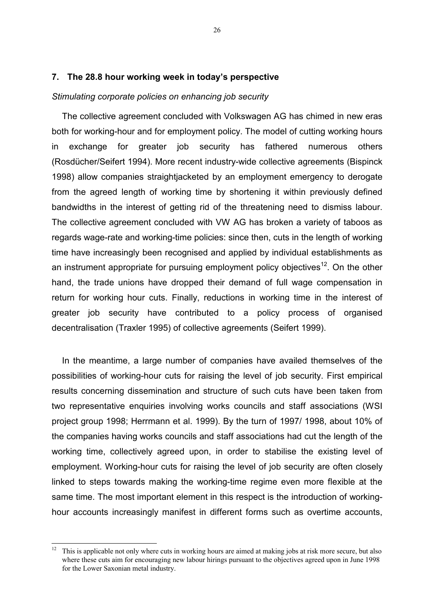### **7. The 28.8 hour working week in today's perspective**

#### *Stimulating corporate policies on enhancing job security*

The collective agreement concluded with Volkswagen AG has chimed in new eras both for working-hour and for employment policy. The model of cutting working hours in exchange for greater job security has fathered numerous others (Rosdücher/Seifert 1994). More recent industry-wide collective agreements (Bispinck 1998) allow companies straightjacketed by an employment emergency to derogate from the agreed length of working time by shortening it within previously defined bandwidths in the interest of getting rid of the threatening need to dismiss labour. The collective agreement concluded with VW AG has broken a variety of taboos as regards wage-rate and working-time policies: since then, cuts in the length of working time have increasingly been recognised and applied by individual establishments as an instrument appropriate for pursuing employment policy objectives<sup>12</sup>. On the other hand, the trade unions have dropped their demand of full wage compensation in return for working hour cuts. Finally, reductions in working time in the interest of greater job security have contributed to a policy process of organised decentralisation (Traxler 1995) of collective agreements (Seifert 1999).

In the meantime, a large number of companies have availed themselves of the possibilities of working-hour cuts for raising the level of job security. First empirical results concerning dissemination and structure of such cuts have been taken from two representative enquiries involving works councils and staff associations (WSI project group 1998; Herrmann et al. 1999). By the turn of 1997/ 1998, about 10% of the companies having works councils and staff associations had cut the length of the working time, collectively agreed upon, in order to stabilise the existing level of employment. Working-hour cuts for raising the level of job security are often closely linked to steps towards making the working-time regime even more flexible at the same time. The most important element in this respect is the introduction of workinghour accounts increasingly manifest in different forms such as overtime accounts,

 $12$ This is applicable not only where cuts in working hours are aimed at making jobs at risk more secure, but also where these cuts aim for encouraging new labour hirings pursuant to the objectives agreed upon in June 1998 for the Lower Saxonian metal industry.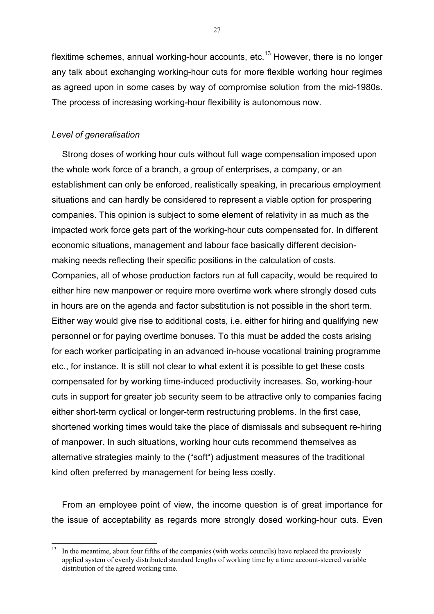flexitime schemes, annual working-hour accounts, etc.<sup>13</sup> However, there is no longer any talk about exchanging working-hour cuts for more flexible working hour regimes as agreed upon in some cases by way of compromise solution from the mid-1980s. The process of increasing working-hour flexibility is autonomous now.

## *Level of generalisation*

Strong doses of working hour cuts without full wage compensation imposed upon the whole work force of a branch, a group of enterprises, a company, or an establishment can only be enforced, realistically speaking, in precarious employment situations and can hardly be considered to represent a viable option for prospering companies. This opinion is subject to some element of relativity in as much as the impacted work force gets part of the working-hour cuts compensated for. In different economic situations, management and labour face basically different decisionmaking needs reflecting their specific positions in the calculation of costs. Companies, all of whose production factors run at full capacity, would be required to either hire new manpower or require more overtime work where strongly dosed cuts in hours are on the agenda and factor substitution is not possible in the short term. Either way would give rise to additional costs, i.e. either for hiring and qualifying new personnel or for paying overtime bonuses. To this must be added the costs arising for each worker participating in an advanced in-house vocational training programme etc., for instance. It is still not clear to what extent it is possible to get these costs compensated for by working time-induced productivity increases. So, working-hour cuts in support for greater job security seem to be attractive only to companies facing either short-term cyclical or longer-term restructuring problems. In the first case, shortened working times would take the place of dismissals and subsequent re-hiring of manpower. In such situations, working hour cuts recommend themselves as alternative strategies mainly to the ("soft") adjustment measures of the traditional kind often preferred by management for being less costly.

From an employee point of view, the income question is of great importance for the issue of acceptability as regards more strongly dosed working-hour cuts. Even

27

 $13$ In the meantime, about four fifths of the companies (with works councils) have replaced the previously applied system of evenly distributed standard lengths of working time by a time account-steered variable distribution of the agreed working time.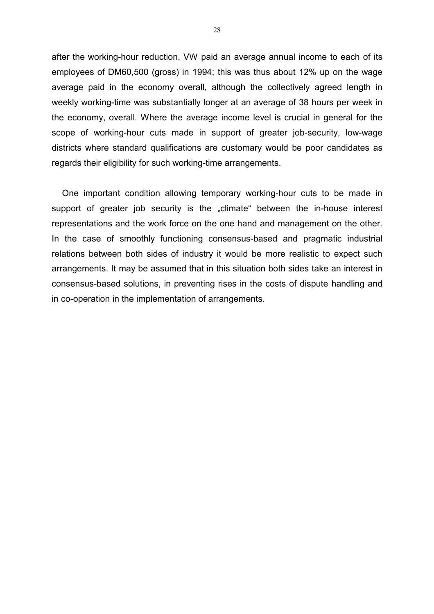after the working-hour reduction, VW paid an average annual income to each of its employees of DM60,500 (gross) in 1994; this was thus about 12% up on the wage average paid in the economy overall, although the collectively agreed length in weekly working-time was substantially longer at an average of 38 hours per week in the economy, overall. Where the average income level is crucial in general for the scope of working-hour cuts made in support of greater job-security, low-wage districts where standard qualifications are customary would be poor candidates as regards their eligibility for such working-time arrangements.

One important condition allowing temporary working-hour cuts to be made in support of greater job security is the "climate" between the in-house interest representations and the work force on the one hand and management on the other. In the case of smoothly functioning consensus-based and pragmatic industrial relations between both sides of industry it would be more realistic to expect such arrangements. It may be assumed that in this situation both sides take an interest in consensus-based solutions, in preventing rises in the costs of dispute handling and in co-operation in the implementation of arrangements.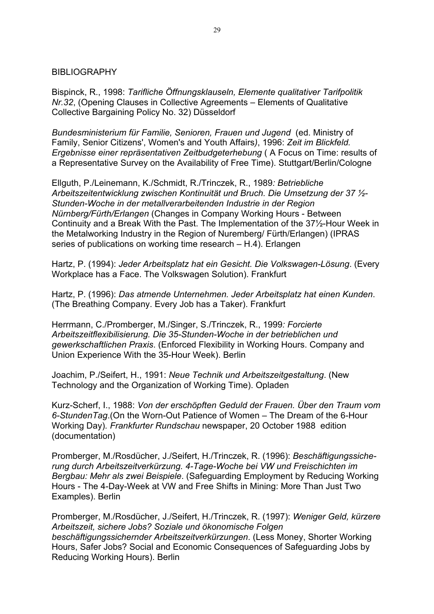## BIBLIOGRAPHY

Bispinck, R., 1998: *Tarifliche Öffnungsklauseln, Elemente qualitativer Tarifpolitik Nr.32*, (Opening Clauses in Collective Agreements – Elements of Qualitative Collective Bargaining Policy No. 32) Düsseldorf

*Bundesministerium für Familie, Senioren, Frauen und Jugend* (ed. Ministry of Family, Senior Citizens', Women's and Youth Affairs*)*, 1996: *Zeit im Blickfeld. Ergebnisse einer repräsentativen Zeitbudgeterhebung* ( A Focus on Time: results of a Representative Survey on the Availability of Free Time). Stuttgart/Berlin/Cologne

Ellguth, P./Leinemann, K./Schmidt, R./Trinczek, R., 1989*: Betriebliche Arbeitszeitentwicklung zwischen Kontinuität und Bruch. Die Umsetzung der 37 ½- Stunden-Woche in der metallverarbeitenden Industrie in der Region Nürnberg/Fürth/Erlangen* (Changes in Company Working Hours - Between Continuity and a Break With the Past. The Implementation of the 37½-Hour Week in the Metalworking Industry in the Region of Nuremberg/ Fürth/Erlangen) (IPRAS series of publications on working time research – H.4). Erlangen

Hartz, P. (1994): *Jeder Arbeitsplatz hat ein Gesicht. Die Volkswagen-Lösung*. (Every Workplace has a Face. The Volkswagen Solution). Frankfurt

Hartz, P. (1996): *Das atmende Unternehmen. Jeder Arbeitsplatz hat einen Kunden*. (The Breathing Company. Every Job has a Taker). Frankfurt

Herrmann, C./Promberger, M./Singer, S./Trinczek, R., 1999*: Forcierte Arbeitszeitflexibilisierung. Die 35-Stunden-Woche in der betrieblichen und gewerkschaftlichen Praxis*. (Enforced Flexibility in Working Hours. Company and Union Experience With the 35-Hour Week). Berlin

Joachim, P./Seifert, H., 1991: *Neue Technik und Arbeitszeitgestaltung*. (New Technology and the Organization of Working Time). Opladen

Kurz-Scherf, I., 1988: *Von der erschöpften Geduld der Frauen. Über den Traum vom 6-StundenTag*.(On the Worn-Out Patience of Women – The Dream of the 6-Hour Working Day)*. Frankfurter Rundschau* newspaper, 20 October 1988 edition (documentation)

Promberger, M./Rosdücher, J./Seifert, H./Trinczek, R. (1996): *Beschäftigungssicherung durch Arbeitszeitverkürzung. 4-Tage-Woche bei VW und Freischichten im Bergbau: Mehr als zwei Beispiele*. (Safeguarding Employment by Reducing Working Hours - The 4-Day-Week at VW and Free Shifts in Mining: More Than Just Two Examples). Berlin

Promberger, M./Rosdücher, J./Seifert, H./Trinczek, R. (1997): *Weniger Geld, kürzere Arbeitszeit, sichere Jobs? Soziale und ökonomische Folgen beschäftigungssichernder Arbeitszeitverkürzungen*. (Less Money, Shorter Working Hours, Safer Jobs? Social and Economic Consequences of Safeguarding Jobs by Reducing Working Hours). Berlin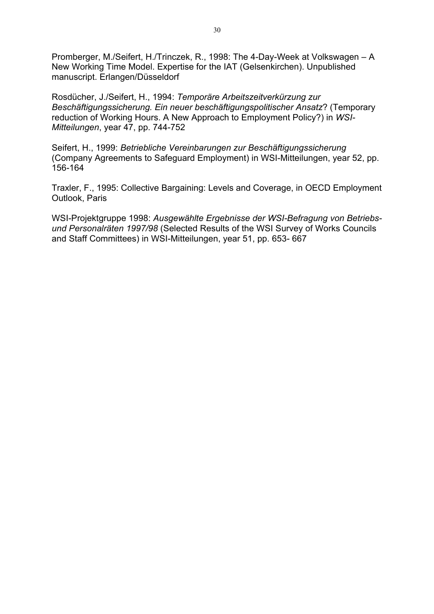Promberger, M./Seifert, H./Trinczek, R., 1998: The 4-Day-Week at Volkswagen – A New Working Time Model. Expertise for the IAT (Gelsenkirchen). Unpublished manuscript. Erlangen/Düsseldorf

Rosdücher, J./Seifert, H., 1994: *Temporäre Arbeitszeitverkürzung zur Beschäftigungssicherung. Ein neuer beschäftigungspolitischer Ansatz*? (Temporary reduction of Working Hours. A New Approach to Employment Policy?) in *WSI-Mitteilungen*, year 47, pp. 744-752

Seifert, H., 1999: *Betriebliche Vereinbarungen zur Beschäftigungssicherung* (Company Agreements to Safeguard Employment) in WSI-Mitteilungen, year 52, pp. 156-164

Traxler, F., 1995: Collective Bargaining: Levels and Coverage, in OECD Employment Outlook, Paris

WSI-Projektgruppe 1998: *Ausgewählte Ergebnisse der WSI-Befragung von Betriebsund Personalräten 1997/98* (Selected Results of the WSI Survey of Works Councils and Staff Committees) in WSI-Mitteilungen, year 51, pp. 653- 667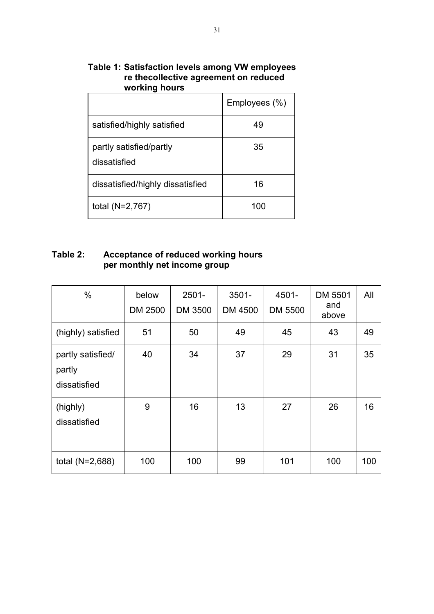| wurning nuurs                           |               |
|-----------------------------------------|---------------|
|                                         | Employees (%) |
| satisfied/highly satisfied              | 49            |
| partly satisfied/partly<br>dissatisfied | 35            |
| dissatisfied/highly dissatisfied        | 16            |
| total $(N=2,767)$                       | 100           |

# **Table 1: Satisfaction levels among VW employees re thecollective agreement on reduced working hours**

# **Table 2: Acceptance of reduced working hours per monthly net income group**

| $\%$                                        | below<br>DM 2500 | $2501 -$<br>DM 3500 | $3501 -$<br>DM 4500 | 4501-<br>DM 5500 | DM 5501<br>and<br>above | All |
|---------------------------------------------|------------------|---------------------|---------------------|------------------|-------------------------|-----|
| (highly) satisfied                          | 51               | 50                  | 49                  | 45               | 43                      | 49  |
| partly satisfied/<br>partly<br>dissatisfied | 40               | 34                  | 37                  | 29               | 31                      | 35  |
| (highly)<br>dissatisfied                    | 9                | 16                  | 13                  | 27               | 26                      | 16  |
| total (N=2,688)                             | 100              | 100                 | 99                  | 101              | 100                     | 100 |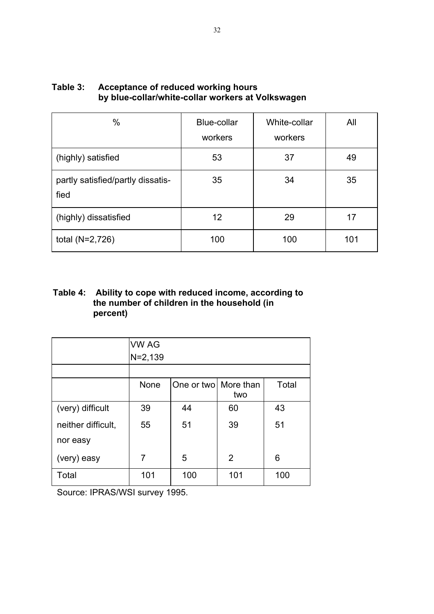| $\%$                                      | <b>Blue-collar</b><br>workers | White-collar<br>workers | All |
|-------------------------------------------|-------------------------------|-------------------------|-----|
| (highly) satisfied                        | 53                            | 37                      | 49  |
| partly satisfied/partly dissatis-<br>fied | 35                            | 34                      | 35  |
| (highly) dissatisfied                     | 12                            | 29                      | 17  |
| total $(N=2,726)$                         | 100                           | 100                     | 101 |

# **Table 3: Acceptance of reduced working hours by blue-collar/white-collar workers at Volkswagen**

# **Table 4: Ability to cope with reduced income, according to the number of children in the household (in percent)**

|                    | <b>VW AG</b> |                      |     |       |
|--------------------|--------------|----------------------|-----|-------|
|                    | $N = 2,139$  |                      |     |       |
|                    |              |                      |     |       |
|                    | None         | One or two More than | two | Total |
| (very) difficult   | 39           | 44                   | 60  | 43    |
| neither difficult, | 55           | 51                   | 39  | 51    |
| nor easy           |              |                      |     |       |
| (very) easy        | 7            | 5                    | 2   | 6     |
| Total              | 101          | 100                  | 101 | 100   |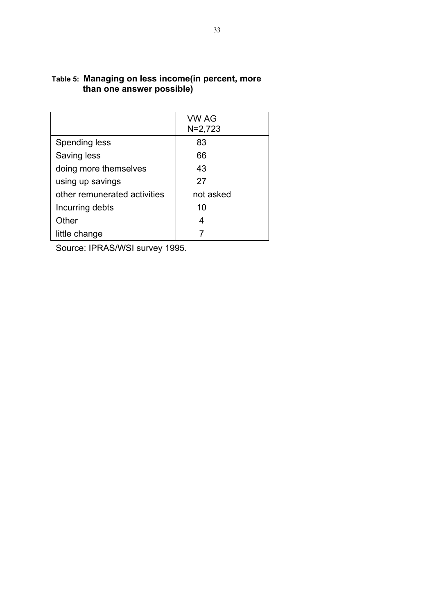|                              | <b>VW AG</b><br>$N=2,723$ |
|------------------------------|---------------------------|
| Spending less                | 83                        |
| Saving less                  | 66                        |
| doing more themselves        | 43                        |
| using up savings             | 27                        |
| other remunerated activities | not asked                 |
| Incurring debts              | 10                        |
| Other                        |                           |
| little change                |                           |

## **Table 5: Managing on less income(in percent, more than one answer possible)**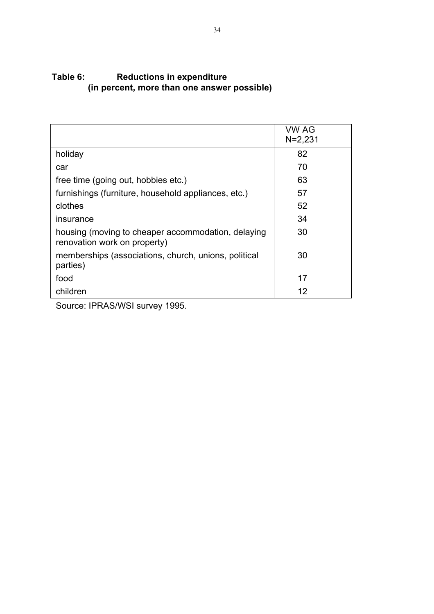# **Table 6: Reductions in expenditure (in percent, more than one answer possible)**

|                                                                                    | <b>VW AG</b><br>$N = 2,231$ |
|------------------------------------------------------------------------------------|-----------------------------|
| holiday                                                                            | 82                          |
| car                                                                                | 70                          |
| free time (going out, hobbies etc.)                                                | 63                          |
| furnishings (furniture, household appliances, etc.)                                | 57                          |
| clothes                                                                            | 52                          |
| <i><b>Insurance</b></i>                                                            | 34                          |
| housing (moving to cheaper accommodation, delaying<br>renovation work on property) | 30                          |
| memberships (associations, church, unions, political<br>parties)                   | 30                          |
| food                                                                               | 17                          |
| children                                                                           | 12                          |